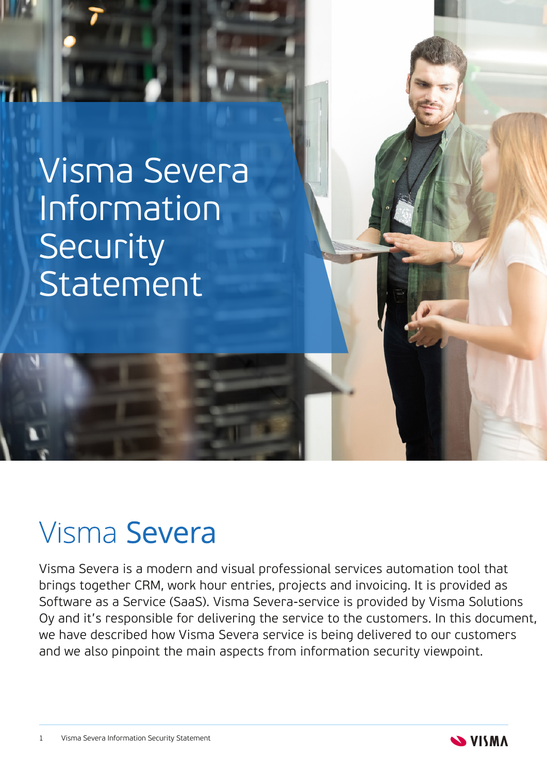# Visma Severa Information Security Statement

## Visma Severa

Visma Severa is a modern and visual professional services automation tool that brings together CRM, work hour entries, projects and invoicing. It is provided as Software as a Service (SaaS). Visma Severa-service is provided by Visma Solutions Oy and it's responsible for delivering the service to the customers. In this document, we have described how Visma Severa service is being delivered to our customers and we also pinpoint the main aspects from information security viewpoint.

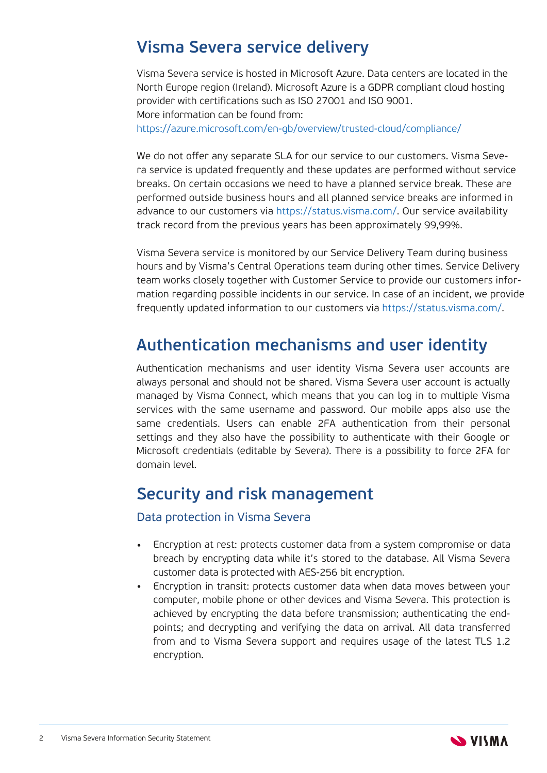## **Visma Severa service delivery**

Visma Severa service is hosted in Microsoft Azure. Data centers are located in the North Europe region (Ireland). Microsoft Azure is a GDPR compliant cloud hosting provider with certifications such as ISO 27001 and ISO 9001. More information can be found from: <https://azure.microsoft.com/en-gb/overview/trusted-cloud/compliance/>

We do not offer any separate SLA for our service to our customers. Visma Severa service is updated frequently and these updates are performed without service breaks. On certain occasions we need to have a planned service break. These are performed outside business hours and all planned service breaks are informed in advance to our customers via [https://status.visma.com/.](https://status.visma.com/) Our service availability track record from the previous years has been approximately 99,99%.

Visma Severa service is monitored by our Service Delivery Team during business hours and by Visma's Central Operations team during other times. Service Delivery team works closely together with Customer Service to provide our customers information regarding possible incidents in our service. In case of an incident, we provide frequently updated information to our customers vi[a](https://status.visma.com/) [https://status.visma.com/.](https://status.visma.com/)

## **Authentication mechanisms and user identity**

Authentication mechanisms and user identity Visma Severa user accounts are always personal and should not be shared. Visma Severa user account is actually managed by Visma Connect, which means that you can log in to multiple Visma services with the same username and password. Our mobile apps also use the same credentials. Users can enable 2FA authentication from their personal settings and they also have the possibility to authenticate with their Google or Microsoft credentials (editable by Severa). There is a possibility to force 2FA for domain level.

## **Security and risk management**

#### Data protection in Visma Severa

- **•** Encryption at rest: protects customer data from a system compromise or data breach by encrypting data while it's stored to the database. All Visma Severa customer data is protected with AES-256 bit encryption.
- **•** Encryption in transit: protects customer data when data moves between your computer, mobile phone or other devices and Visma Severa. This protection is achieved by encrypting the data before transmission; authenticating the endpoints; and decrypting and verifying the data on arrival. All data transferred from and to Visma Severa support and requires usage of the latest TLS 1.2 encryption.

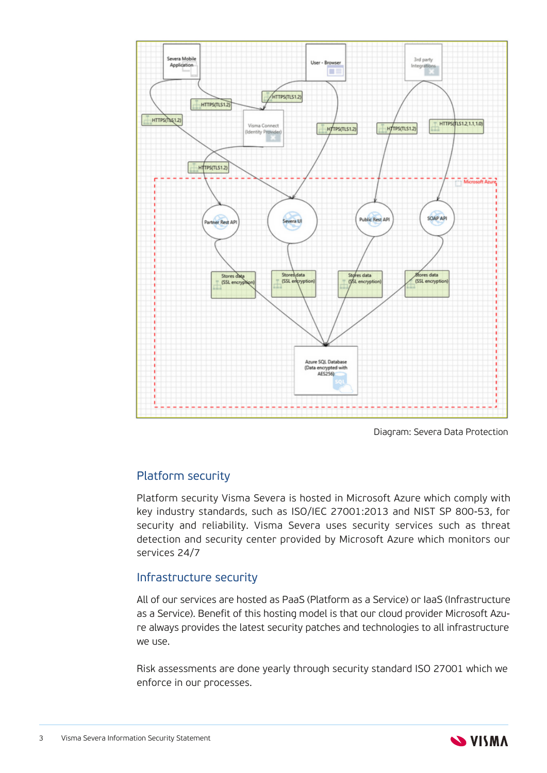

Diagram: Severa Data Protection

#### Platform security

Platform security Visma Severa is hosted in Microsoft Azure which comply with key industry standards, such as ISO/IEC 27001:2013 and NIST SP 800-53, for security and reliability. Visma Severa uses security services such as threat detection and security center provided by Microsoft Azure which monitors our services 24/7

#### Infrastructure security

All of our services are hosted as PaaS (Platform as a Service) or IaaS (Infrastructure as a Service). Benefit of this hosting model is that our cloud provider Microsoft Azure always provides the latest security patches and technologies to all infrastructure we use.

Risk assessments are done yearly through security standard ISO 27001 which we enforce in our processes.

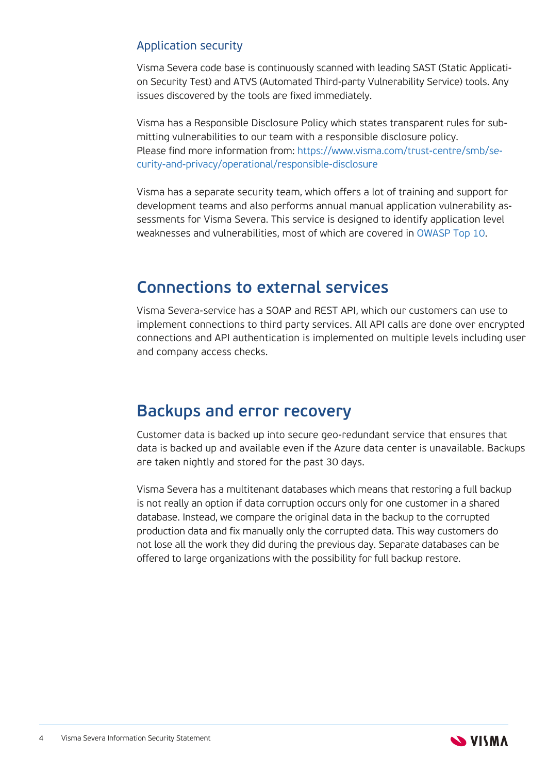#### Application security

Visma Severa code base is continuously scanned with leading SAST (Static Application Security Test) and ATVS (Automated Third-party Vulnerability Service) tools. Any issues discovered by the tools are fixed immediately.

Visma has a Responsible Disclosure Policy which states transparent rules for submitting vulnerabilities to our team with a responsible disclosure policy. Please find more information from: https://www.visma.com/trust-centre/smb/se[curity-and-privacy/operational/responsible-disclosure](https://www.visma.com/trust-centre/smb/security-and-privacy/operational/responsible-disclosure)

Visma has a separate security team, which offers a lot of training and support for development teams and also performs annual manual application vulnerability assessments for Visma Severa. This service is designed to identify application level weaknesses and vulnerabilities, most of which are covered in [OWASP](https://owasp.org/www-project-top-ten/) Top 10.

## **Connections to external services**

Visma Severa-service has a SOAP and REST API, which our customers can use to implement connections to third party services. All API calls are done over encrypted connections and API authentication is implemented on multiple levels including user and company access checks.

## **Backups and error recovery**

Customer data is backed up into secure geo-redundant service that ensures that data is backed up and available even if the Azure data center is unavailable. Backups are taken nightly and stored for the past 30 days.

Visma Severa has a multitenant databases which means that restoring a full backup is not really an option if data corruption occurs only for one customer in a shared database. Instead, we compare the original data in the backup to the corrupted production data and fix manually only the corrupted data. This way customers do not lose all the work they did during the previous day. Separate databases can be offered to large organizations with the possibility for full backup restore.